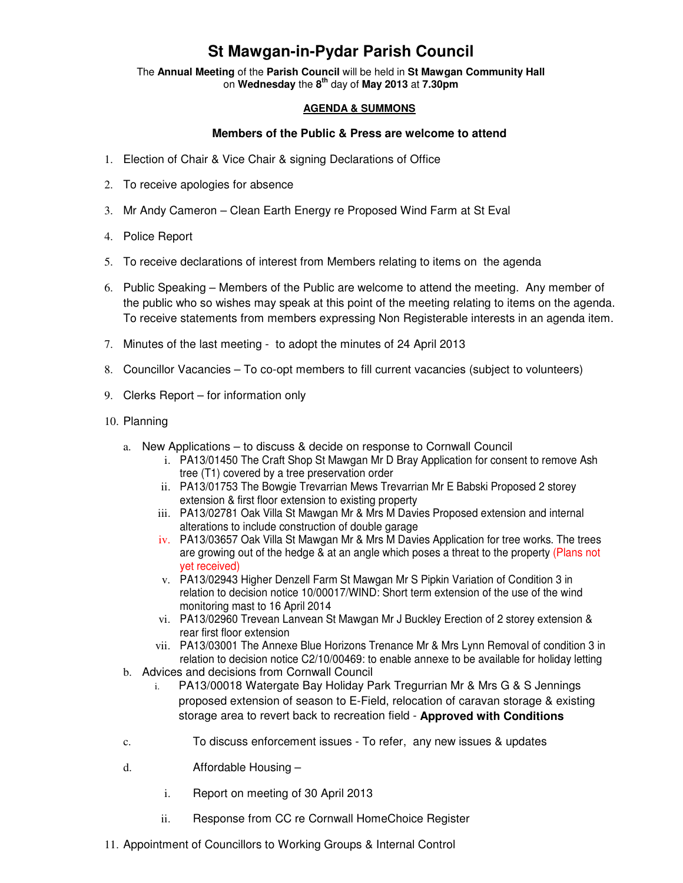## **St Mawgan-in-Pydar Parish Council**

The **Annual Meeting** of the **Parish Council** will be held in **St Mawgan Community Hall** on **Wednesday** the **8th** day of **May 2013** at **7.30pm** 

## **AGENDA & SUMMONS**

## **Members of the Public & Press are welcome to attend**

- 1. Election of Chair & Vice Chair & signing Declarations of Office
- 2. To receive apologies for absence
- 3. Mr Andy Cameron Clean Earth Energy re Proposed Wind Farm at St Eval
- 4. Police Report
- 5. To receive declarations of interest from Members relating to items on the agenda
- 6. Public Speaking Members of the Public are welcome to attend the meeting. Any member of the public who so wishes may speak at this point of the meeting relating to items on the agenda. To receive statements from members expressing Non Registerable interests in an agenda item.
- 7. Minutes of the last meeting to adopt the minutes of 24 April 2013
- 8. Councillor Vacancies To co-opt members to fill current vacancies (subject to volunteers)
- 9. Clerks Report for information only
- 10. Planning
	- a. New Applications to discuss & decide on response to Cornwall Council
		- i. PA13/01450 The Craft Shop St Mawgan Mr D Bray Application for consent to remove Ash tree (T1) covered by a tree preservation order
		- ii. PA13/01753 The Bowgie Trevarrian Mews Trevarrian Mr E Babski Proposed 2 storey extension & first floor extension to existing property
		- iii. PA13/02781 Oak Villa St Mawgan Mr & Mrs M Davies Proposed extension and internal alterations to include construction of double garage
		- iv. PA13/03657 Oak Villa St Mawgan Mr & Mrs M Davies Application for tree works. The trees are growing out of the hedge & at an angle which poses a threat to the property (Plans not yet received)
		- v. PA13/02943 Higher Denzell Farm St Mawgan Mr S Pipkin Variation of Condition 3 in relation to decision notice 10/00017/WIND: Short term extension of the use of the wind monitoring mast to 16 April 2014
		- vi. PA13/02960 Trevean Lanvean St Mawgan Mr J Buckley Erection of 2 storey extension & rear first floor extension
		- vii. PA13/03001 The Annexe Blue Horizons Trenance Mr & Mrs Lynn Removal of condition 3 in relation to decision notice C2/10/00469: to enable annexe to be available for holiday letting
	- b. Advices and decisions from Cornwall Council
		- i. PA13/00018 Watergate Bay Holiday Park Tregurrian Mr & Mrs G & S Jennings proposed extension of season to E-Field, relocation of caravan storage & existing storage area to revert back to recreation field - **Approved with Conditions**
	- c. To discuss enforcement issues To refer, any new issues & updates
	- d. Affordable Housing
		- i. Report on meeting of 30 April 2013
		- ii. Response from CC re Cornwall HomeChoice Register
- 11. Appointment of Councillors to Working Groups & Internal Control